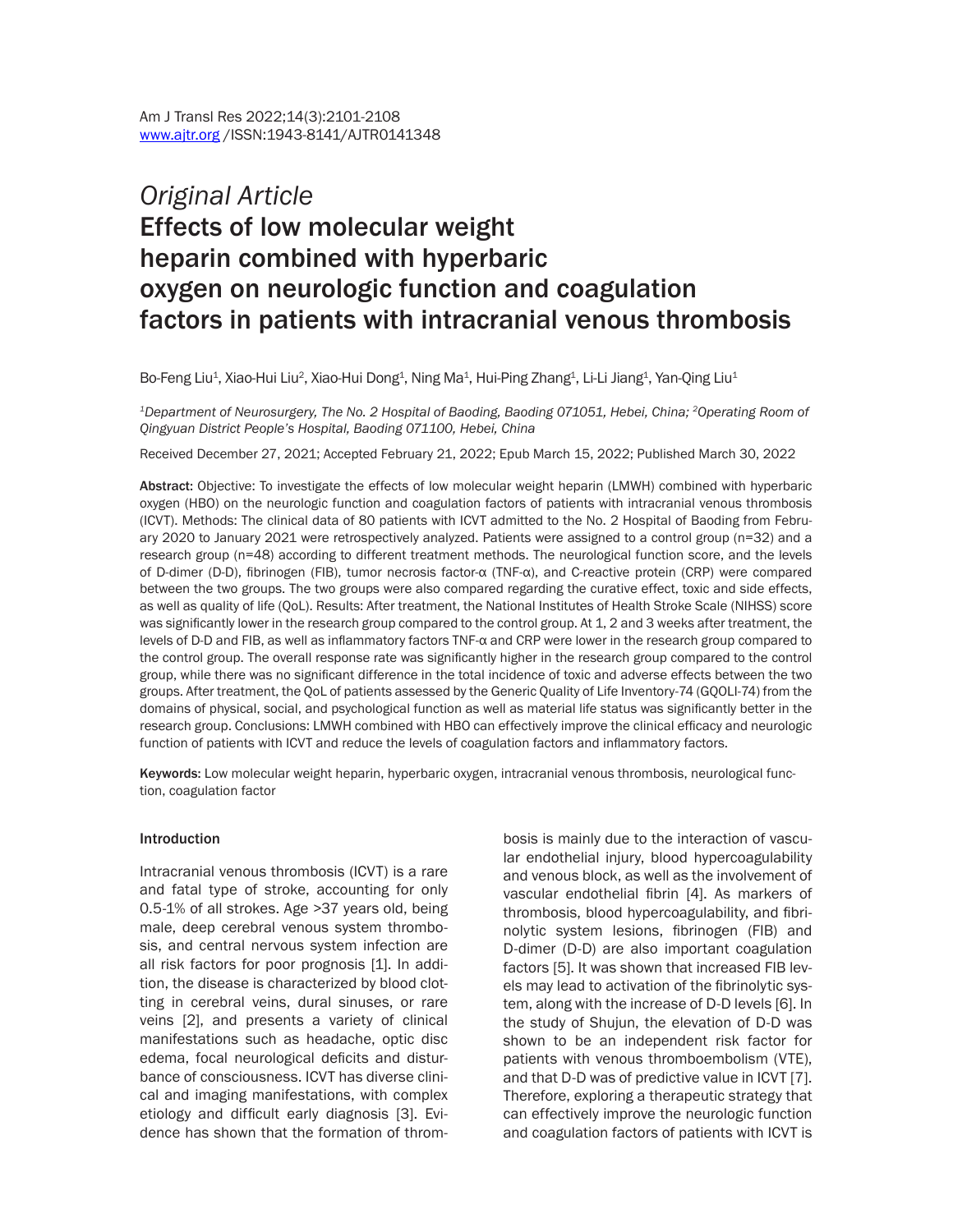# *Original Article* Effects of low molecular weight heparin combined with hyperbaric oxygen on neurologic function and coagulation factors in patients with intracranial venous thrombosis

Bo-Feng Liu<sup>1</sup>, Xiao-Hui Liu<sup>2</sup>, Xiao-Hui Dong<sup>1</sup>, Ning Ma<sup>1</sup>, Hui-Ping Zhang<sup>1</sup>, Li-Li Jiang<sup>1</sup>, Yan-Qing Liu<sup>1</sup>

*1Department of Neurosurgery, The No. 2 Hospital of Baoding, Baoding 071051, Hebei, China; 2Operating Room of Qingyuan District People's Hospital, Baoding 071100, Hebei, China*

Received December 27, 2021; Accepted February 21, 2022; Epub March 15, 2022; Published March 30, 2022

Abstract: Objective: To investigate the effects of low molecular weight heparin (LMWH) combined with hyperbaric oxygen (HBO) on the neurologic function and coagulation factors of patients with intracranial venous thrombosis (ICVT). Methods: The clinical data of 80 patients with ICVT admitted to the No. 2 Hospital of Baoding from February 2020 to January 2021 were retrospectively analyzed. Patients were assigned to a control group (n=32) and a research group (n=48) according to different treatment methods. The neurological function score, and the levels of D-dimer (D-D), fibrinogen (FIB), tumor necrosis factor-α (TNF-α), and C-reactive protein (CRP) were compared between the two groups. The two groups were also compared regarding the curative effect, toxic and side effects, as well as quality of life (QoL). Results: After treatment, the National Institutes of Health Stroke Scale (NIHSS) score was significantly lower in the research group compared to the control group. At 1, 2 and 3 weeks after treatment, the levels of D-D and FIB, as well as inflammatory factors TNF-α and CRP were lower in the research group compared to the control group. The overall response rate was significantly higher in the research group compared to the control group, while there was no significant difference in the total incidence of toxic and adverse effects between the two groups. After treatment, the QoL of patients assessed by the Generic Quality of Life Inventory-74 (GQOLI-74) from the domains of physical, social, and psychological function as well as material life status was significantly better in the research group. Conclusions: LMWH combined with HBO can effectively improve the clinical efficacy and neurologic function of patients with ICVT and reduce the levels of coagulation factors and inflammatory factors.

Keywords: Low molecular weight heparin, hyperbaric oxygen, intracranial venous thrombosis, neurological function, coagulation factor

#### **Introduction**

Intracranial venous thrombosis (ICVT) is a rare and fatal type of stroke, accounting for only 0.5-1% of all strokes. Age >37 years old, being male, deep cerebral venous system thrombosis, and central nervous system infection are all risk factors for poor prognosis [1]. In addition, the disease is characterized by blood clotting in cerebral veins, dural sinuses, or rare veins [2], and presents a variety of clinical manifestations such as headache, optic disc edema, focal neurological deficits and disturbance of consciousness. ICVT has diverse clinical and imaging manifestations, with complex etiology and difficult early diagnosis [3]. Evidence has shown that the formation of thrombosis is mainly due to the interaction of vascular endothelial injury, blood hypercoagulability and venous block, as well as the involvement of vascular endothelial fibrin [4]. As markers of thrombosis, blood hypercoagulability, and fibrinolytic system lesions, fibrinogen (FIB) and D-dimer (D-D) are also important coagulation factors [5]. It was shown that increased FIB levels may lead to activation of the fibrinolytic system, along with the increase of D-D levels [6]. In the study of Shujun, the elevation of D-D was shown to be an independent risk factor for patients with venous thromboembolism (VTE), and that D-D was of predictive value in ICVT [7]. Therefore, exploring a therapeutic strategy that can effectively improve the neurologic function and coagulation factors of patients with ICVT is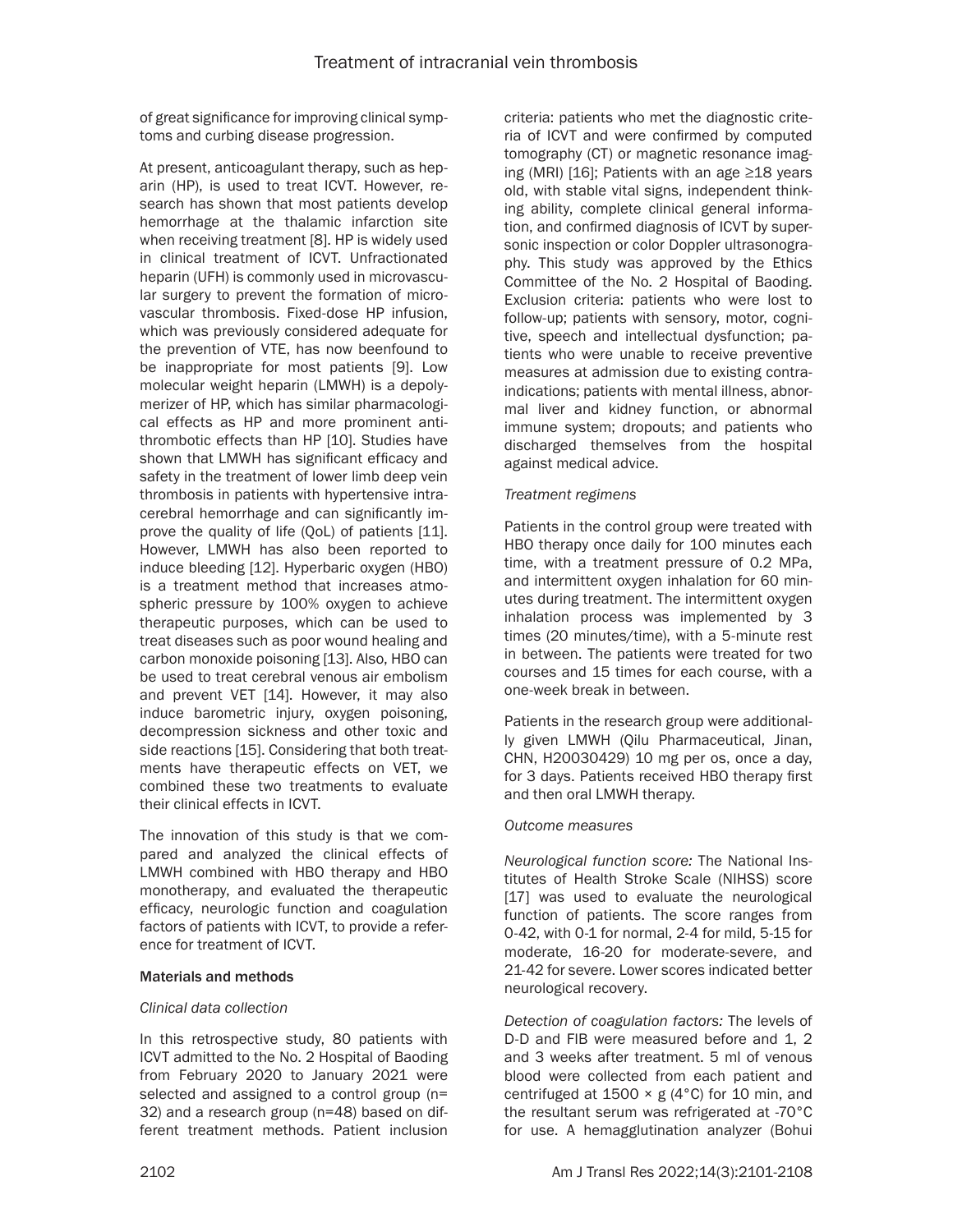of great significance for improving clinical symptoms and curbing disease progression.

At present, anticoagulant therapy, such as heparin (HP), is used to treat ICVT. However, research has shown that most patients develop hemorrhage at the thalamic infarction site when receiving treatment [8]. HP is widely used in clinical treatment of ICVT. Unfractionated heparin (UFH) is commonly used in microvascular surgery to prevent the formation of microvascular thrombosis. Fixed-dose HP infusion, which was previously considered adequate for the prevention of VTE, has now beenfound to be inappropriate for most patients [9]. Low molecular weight heparin (LMWH) is a depolymerizer of HP, which has similar pharmacological effects as HP and more prominent antithrombotic effects than HP [10]. Studies have shown that LMWH has significant efficacy and safety in the treatment of lower limb deep vein thrombosis in patients with hypertensive intracerebral hemorrhage and can significantly improve the quality of life (QoL) of patients [11]. However, LMWH has also been reported to induce bleeding [12]. Hyperbaric oxygen (HBO) is a treatment method that increases atmospheric pressure by 100% oxygen to achieve therapeutic purposes, which can be used to treat diseases such as poor wound healing and carbon monoxide poisoning [13]. Also, HBO can be used to treat cerebral venous air embolism and prevent VET [14]. However, it may also induce barometric injury, oxygen poisoning, decompression sickness and other toxic and side reactions [15]. Considering that both treatments have therapeutic effects on VET, we combined these two treatments to evaluate their clinical effects in ICVT.

The innovation of this study is that we compared and analyzed the clinical effects of LMWH combined with HBO therapy and HBO monotherapy, and evaluated the therapeutic efficacy, neurologic function and coagulation factors of patients with ICVT, to provide a reference for treatment of ICVT.

# Materials and methods

#### *Clinical data collection*

In this retrospective study, 80 patients with ICVT admitted to the No. 2 Hospital of Baoding from February 2020 to January 2021 were selected and assigned to a control group (n= 32) and a research group (n=48) based on different treatment methods. Patient inclusion criteria: patients who met the diagnostic criteria of ICVT and were confirmed by computed tomography (CT) or magnetic resonance imaging (MRI) [16]; Patients with an age ≥18 years old, with stable vital signs, independent thinking ability, complete clinical general information, and confirmed diagnosis of ICVT by supersonic inspection or color Doppler ultrasonography. This study was approved by the Ethics Committee of the No. 2 Hospital of Baoding. Exclusion criteria: patients who were lost to follow-up; patients with sensory, motor, cognitive, speech and intellectual dysfunction; patients who were unable to receive preventive measures at admission due to existing contraindications; patients with mental illness, abnormal liver and kidney function, or abnormal immune system; dropouts; and patients who discharged themselves from the hospital against medical advice.

# *Treatment regimens*

Patients in the control group were treated with HBO therapy once daily for 100 minutes each time, with a treatment pressure of 0.2 MPa, and intermittent oxygen inhalation for 60 minutes during treatment. The intermittent oxygen inhalation process was implemented by 3 times (20 minutes/time), with a 5-minute rest in between. The patients were treated for two courses and 15 times for each course, with a one-week break in between.

Patients in the research group were additionally given LMWH (Qilu Pharmaceutical, Jinan, CHN, H20030429) 10 mg per os, once a day, for 3 days. Patients received HBO therapy first and then oral LMWH therapy.

# *Outcome measures*

*Neurological function score:* The National Institutes of Health Stroke Scale (NIHSS) score [17] was used to evaluate the neurological function of patients. The score ranges from 0-42, with 0-1 for normal, 2-4 for mild, 5-15 for moderate, 16-20 for moderate-severe, and 21-42 for severe. Lower scores indicated better neurological recovery.

*Detection of coagulation factors:* The levels of D-D and FIB were measured before and 1, 2 and 3 weeks after treatment. 5 ml of venous blood were collected from each patient and centrifuged at  $1500 \times g$  (4°C) for 10 min, and the resultant serum was refrigerated at -70°C for use. A hemagglutination analyzer (Bohui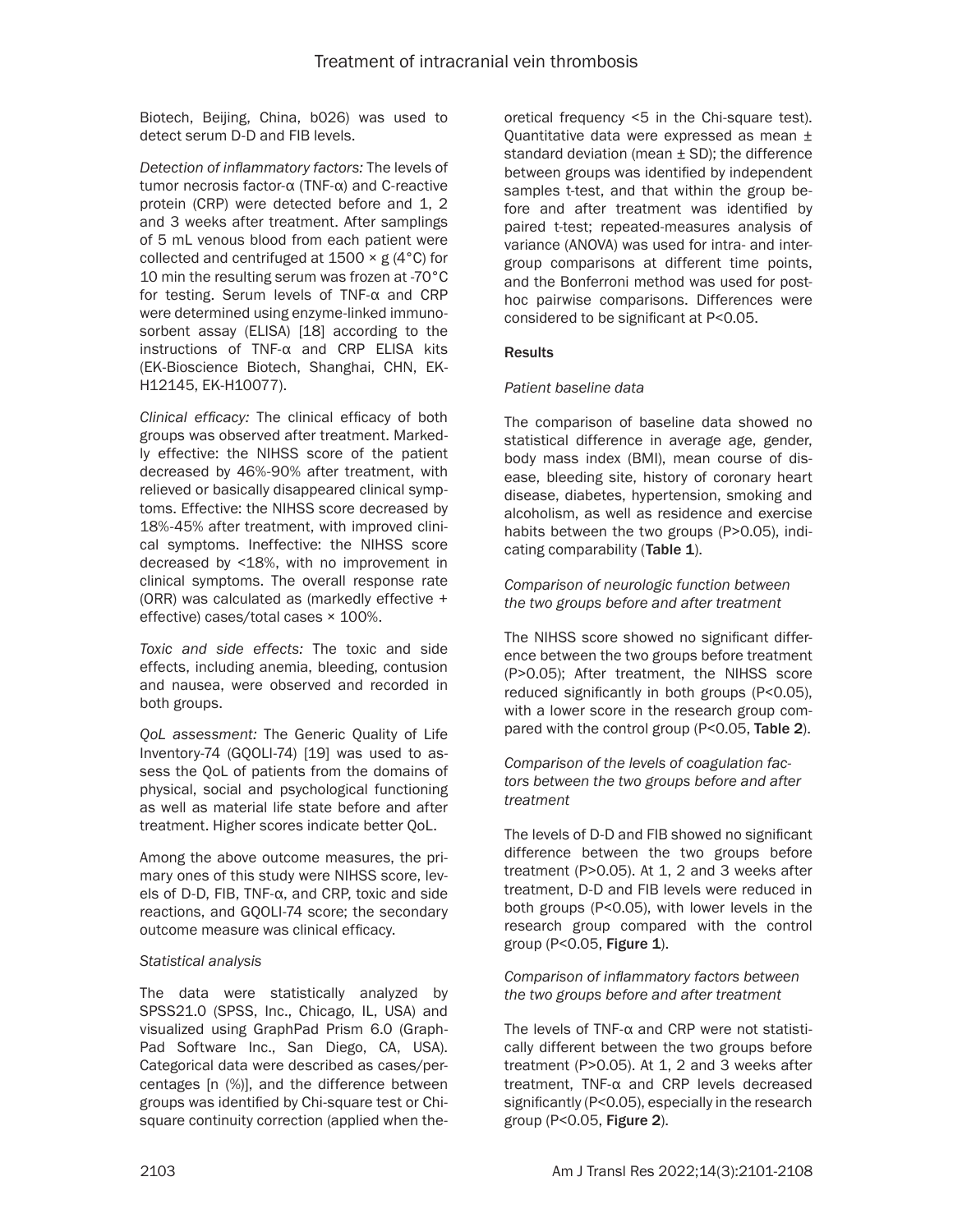Biotech, Beijing, China, b026) was used to detect serum D-D and FIB levels.

*Detection of inflammatory factors:* The levels of tumor necrosis factor-α (TNF-α) and C-reactive protein (CRP) were detected before and 1, 2 and 3 weeks after treatment. After samplings of 5 mL venous blood from each patient were collected and centrifuged at  $1500 \times g$  (4°C) for 10 min the resulting serum was frozen at -70°C for testing. Serum levels of TNF-α and CRP were determined using enzyme-linked immunosorbent assay (ELISA) [18] according to the instructions of TNF-α and CRP ELISA kits (EK-Bioscience Biotech, Shanghai, CHN, EK-H12145, EK-H10077).

*Clinical efficacy:* The clinical efficacy of both groups was observed after treatment. Markedly effective: the NIHSS score of the patient decreased by 46%-90% after treatment, with relieved or basically disappeared clinical symptoms. Effective: the NIHSS score decreased by 18%-45% after treatment, with improved clinical symptoms. Ineffective: the NIHSS score decreased by <18%, with no improvement in clinical symptoms. The overall response rate (ORR) was calculated as (markedly effective + effective) cases/total cases × 100%.

*Toxic and side effects:* The toxic and side effects, including anemia, bleeding, contusion and nausea, were observed and recorded in both groups.

*QoL assessment:* The Generic Quality of Life Inventory-74 (GQOLI-74) [19] was used to assess the QoL of patients from the domains of physical, social and psychological functioning as well as material life state before and after treatment. Higher scores indicate better QoL.

Among the above outcome measures, the primary ones of this study were NIHSS score, levels of D-D, FIB, TNF-α, and CRP, toxic and side reactions, and GQOLI-74 score; the secondary outcome measure was clinical efficacy.

# *Statistical analysis*

The data were statistically analyzed by SPSS21.0 (SPSS, Inc., Chicago, IL, USA) and visualized using GraphPad Prism 6.0 (Graph-Pad Software Inc., San Diego, CA, USA). Categorical data were described as cases/percentages [n (%)], and the difference between groups was identified by Chi-square test or Chisquare continuity correction (applied when theoretical frequency <5 in the Chi-square test). Quantitative data were expressed as mean ± standard deviation (mean  $\pm$  SD); the difference between groups was identified by independent samples t-test, and that within the group before and after treatment was identified by paired t-test; repeated-measures analysis of variance (ANOVA) was used for intra- and intergroup comparisons at different time points, and the Bonferroni method was used for posthoc pairwise comparisons. Differences were considered to be significant at P<0.05.

# **Results**

# *Patient baseline data*

The comparison of baseline data showed no statistical difference in average age, gender, body mass index (BMI), mean course of disease, bleeding site, history of coronary heart disease, diabetes, hypertension, smoking and alcoholism, as well as residence and exercise habits between the two groups (P>0.05), indicating comparability (Table 1).

*Comparison of neurologic function between the two groups before and after treatment*

The NIHSS score showed no significant difference between the two groups before treatment (P>0.05); After treatment, the NIHSS score reduced significantly in both groups (P<0.05), with a lower score in the research group compared with the control group (P<0.05, Table 2).

*Comparison of the levels of coagulation factors between the two groups before and after treatment*

The levels of D-D and FIB showed no significant difference between the two groups before treatment (P>0.05). At 1, 2 and 3 weeks after treatment, D-D and FIB levels were reduced in both groups (P<0.05), with lower levels in the research group compared with the control group (P<0.05, Figure 1).

### *Comparison of inflammatory factors between the two groups before and after treatment*

The levels of TNF-α and CRP were not statistically different between the two groups before treatment (P>0.05). At 1, 2 and 3 weeks after treatment, TNF-α and CRP levels decreased significantly (P<0.05), especially in the research group (P<0.05, Figure 2).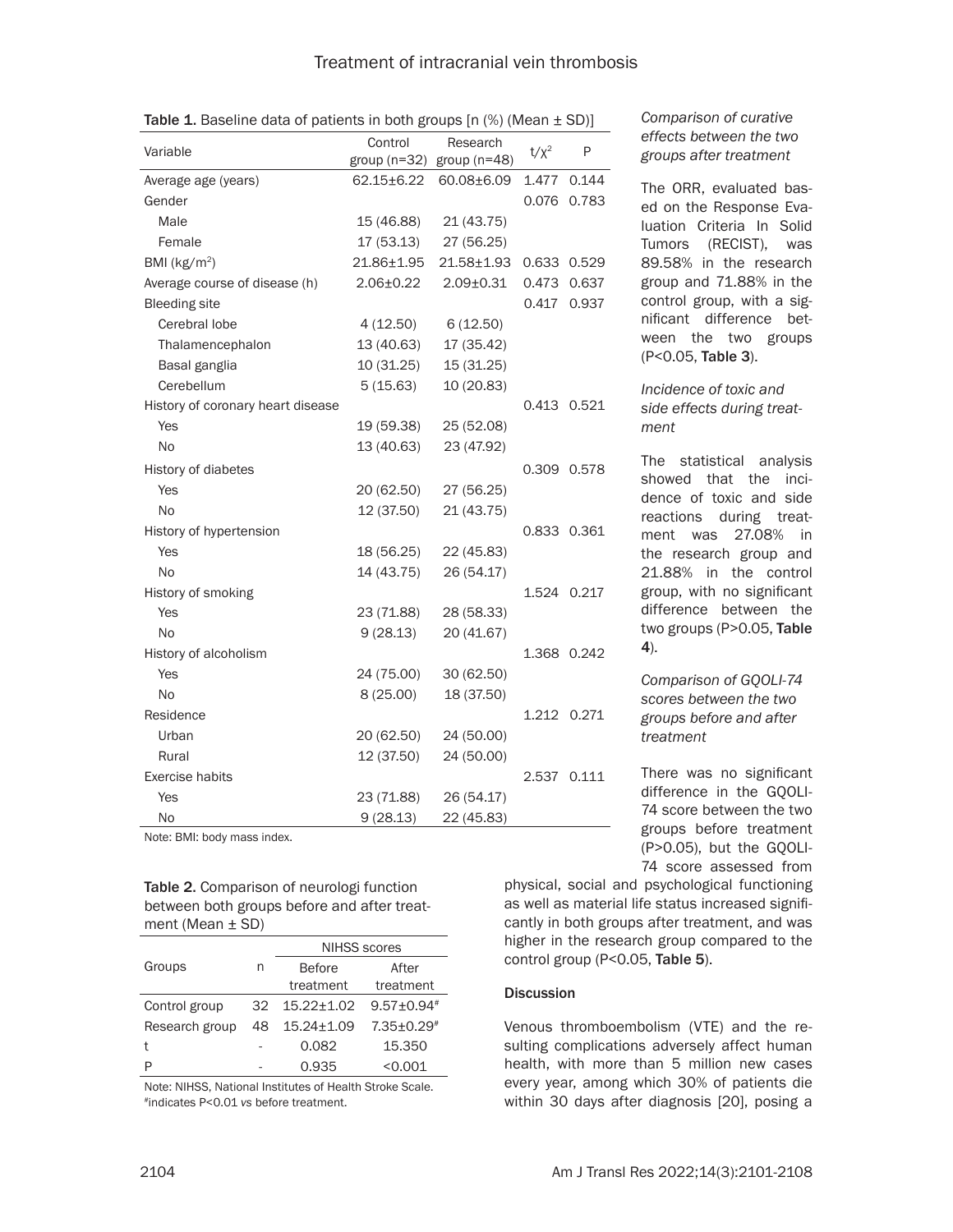| Variable                          | Control<br>group $(n=32)$ | Research<br>group $(n=48)$ | $t/x^2$ | P           |
|-----------------------------------|---------------------------|----------------------------|---------|-------------|
| Average age (years)               | $62.15 \pm 6.22$          | 60.08±6.09                 | 1.477   | 0.144       |
| Gender                            |                           |                            | 0.076   | 0.783       |
| Male                              | 15 (46.88)                | 21 (43.75)                 |         |             |
| Female                            | 17(53.13)                 | 27 (56.25)                 |         |             |
| BMI ( $kg/m2$ )                   | 21.86±1.95                | $21.58 + 1.93$             |         | 0.633 0.529 |
| Average course of disease (h)     | $2.06 \pm 0.22$           | $2.09 \pm 0.31$            | 0.473   | 0.637       |
| <b>Bleeding site</b>              |                           |                            | 0.417   | 0.937       |
| Cerebral lobe                     | 4(12.50)                  | 6(12.50)                   |         |             |
| Thalamencephalon                  | 13 (40.63)                | 17 (35.42)                 |         |             |
| Basal ganglia                     | 10 (31.25)                | 15 (31.25)                 |         |             |
| Cerebellum                        | 5(15.63)                  | 10 (20.83)                 |         |             |
| History of coronary heart disease |                           |                            |         | 0.413 0.521 |
| Yes                               | 19 (59.38)                | 25 (52.08)                 |         |             |
| N <sub>0</sub>                    | 13 (40.63)                | 23 (47.92)                 |         |             |
| History of diabetes               |                           |                            | 0.309   | 0.578       |
| Yes                               | 20 (62.50)                | 27 (56.25)                 |         |             |
| <b>No</b>                         | 12 (37.50)                | 21 (43.75)                 |         |             |
| History of hypertension           |                           |                            |         | 0.833 0.361 |
| Yes                               | 18 (56.25)                | 22 (45.83)                 |         |             |
| <b>No</b>                         | 14 (43.75)                | 26 (54.17)                 |         |             |
| History of smoking                |                           |                            |         | 1.524 0.217 |
| Yes                               | 23 (71.88)                | 28 (58.33)                 |         |             |
| N <sub>0</sub>                    | 9(28.13)                  | 20 (41.67)                 |         |             |
| History of alcoholism             |                           |                            |         | 1.368 0.242 |
| Yes                               | 24 (75.00)                | 30 (62.50)                 |         |             |
| <b>No</b>                         | 8(25.00)                  | 18 (37.50)                 |         |             |
| Residence                         |                           |                            |         | 1.212 0.271 |
| Urban                             | 20 (62.50)                | 24 (50.00)                 |         |             |
| Rural                             | 12 (37.50)                | 24 (50.00)                 |         |             |
| <b>Exercise habits</b>            |                           |                            | 2.537   | 0.111       |
| Yes                               | 23 (71.88)                | 26 (54.17)                 |         |             |
| No                                | 9(28.13)                  | 22 (45.83)                 |         |             |

Table 1. Baseline data of patients in both groups  $[n \, (\%)$  (Mean  $\pm$  SD)]

Note: BMI: body mass index.

#### Table 2. Comparison of neurologi function between both groups before and after treatment (Mean ± SD)

|                |    | <b>NIHSS scores</b> |                   |  |  |  |
|----------------|----|---------------------|-------------------|--|--|--|
| Groups         | n  | <b>Before</b>       | After             |  |  |  |
|                |    | treatment           | treatment         |  |  |  |
| Control group  | 32 | $15.22 + 1.02$      | $9.57 \pm 0.94$ # |  |  |  |
| Research group | 48 | $15.24 \pm 1.09$    | $7.35 + 0.29$ #   |  |  |  |
|                |    | 0.082               | 15.350            |  |  |  |
|                |    | 0.935               | < 0.001           |  |  |  |

Note: NIHSS, National Institutes of Health Stroke Scale. #indicates P<0.01 *vs* before treatment.

*Comparison of curative effects between the two groups after treatment*

The ORR, evaluated based on the Response Evaluation Criteria In Solid Tumors (RECIST), was 89.58% in the research group and 71.88% in the control group, with a significant difference between the two groups (P<0.05, Table 3).

*Incidence of toxic and side effects during treatment*

The statistical analysis showed that the incidence of toxic and side reactions during treatment was 27.08% in the research group and 21.88% in the control group, with no significant difference between the two groups (P>0.05, Table 4).

*Comparison of GQOLI-74 scores between the two groups before and after treatment*

There was no significant difference in the GQOLI-74 score between the two groups before treatment (P>0.05), but the GQOLI-74 score assessed from

physical, social and psychological functioning as well as material life status increased significantly in both groups after treatment, and was higher in the research group compared to the control group (P<0.05, Table 5).

# **Discussion**

Venous thromboembolism (VTE) and the resulting complications adversely affect human health, with more than 5 million new cases every year, among which 30% of patients die within 30 days after diagnosis [20], posing a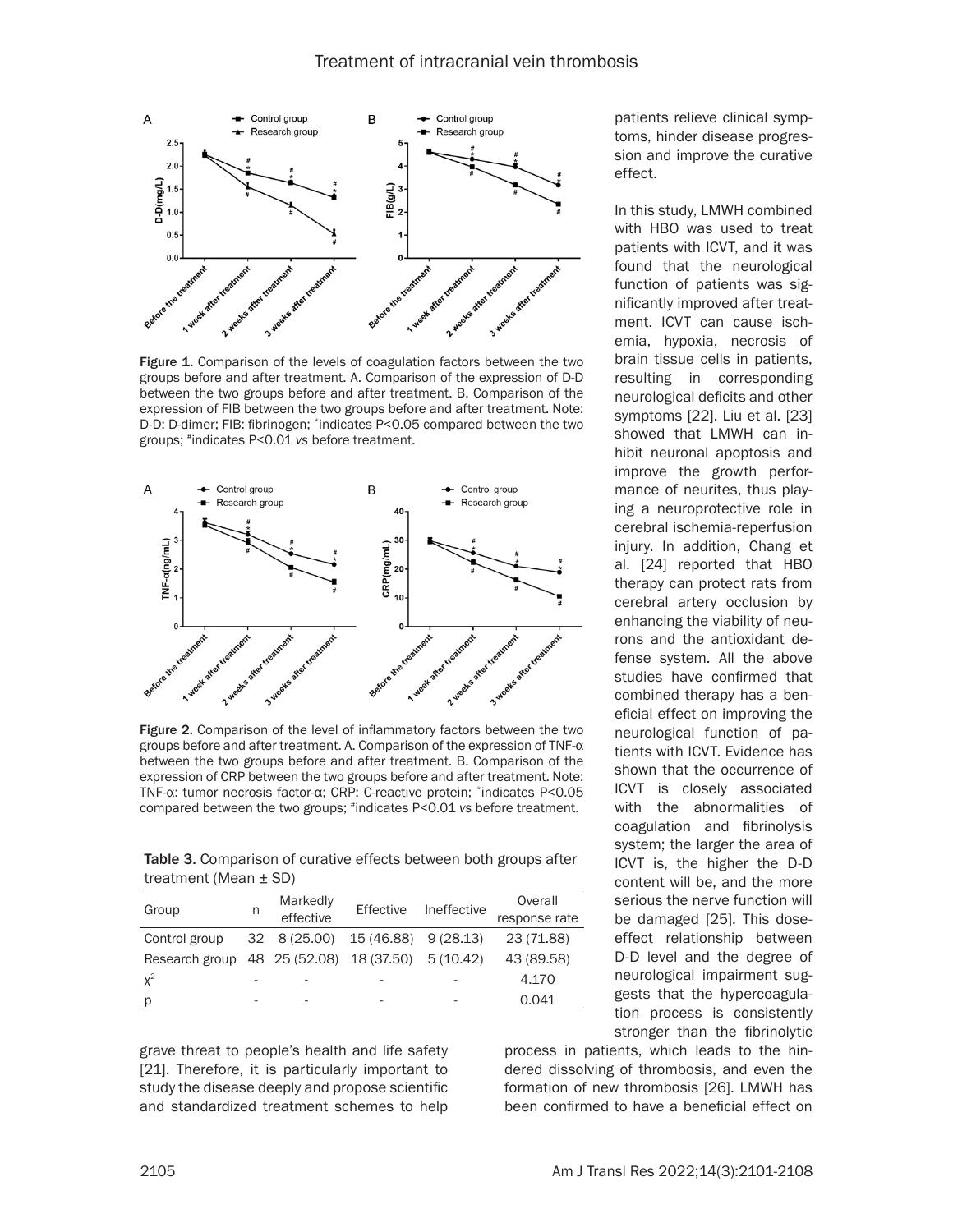

Figure 1. Comparison of the levels of coagulation factors between the two groups before and after treatment. A. Comparison of the expression of D-D between the two groups before and after treatment. B. Comparison of the expression of FIB between the two groups before and after treatment. Note: D-D: D-dimer; FIB: fibrinogen; \*indicates P<0.05 compared between the two groups; #indicates P<0.01 *vs* before treatment.



Figure 2. Comparison of the level of inflammatory factors between the two groups before and after treatment. A. Comparison of the expression of TNF-α between the two groups before and after treatment. B. Comparison of the expression of CRP between the two groups before and after treatment. Note: TNF-α: tumor necrosis factor-α; CRP: C-reactive protein; \*indicates P<0.05 compared between the two groups; #indicates P<0.01 *vs* before treatment.

Table 3. Comparison of curative effects between both groups after treatment (Mean ± SD)

| Group                                             | n | Markedly<br>effective    | Effective            | Ineffective | Overall<br>response rate |
|---------------------------------------------------|---|--------------------------|----------------------|-------------|--------------------------|
| Control group                                     |   | $32 \quad 8(25.00)$      | 15 (46.88) 9 (28.13) |             | 23 (71.88)               |
| Research group 48 25 (52.08) 18 (37.50) 5 (10.42) |   |                          |                      |             | 43 (89.58)               |
| $X^2$                                             |   |                          |                      |             | 4.170                    |
| p                                                 | - | $\overline{\phantom{a}}$ |                      |             | 0.041                    |

grave threat to people's health and life safety [21]. Therefore, it is particularly important to study the disease deeply and propose scientific and standardized treatment schemes to help patients relieve clinical symptoms, hinder disease progression and improve the curative effect.

In this study, LMWH combined with HBO was used to treat patients with ICVT, and it was found that the neurological function of patients was significantly improved after treatment. ICVT can cause ischemia, hypoxia, necrosis of brain tissue cells in patients, resulting in corresponding neurological deficits and other symptoms [22]. Liu et al. [23] showed that LMWH can inhibit neuronal apoptosis and improve the growth performance of neurites, thus playing a neuroprotective role in cerebral ischemia-reperfusion injury. In addition, Chang et al. [24] reported that HBO therapy can protect rats from cerebral artery occlusion by enhancing the viability of neurons and the antioxidant defense system. All the above studies have confirmed that combined therapy has a beneficial effect on improving the neurological function of patients with ICVT. Evidence has shown that the occurrence of ICVT is closely associated with the abnormalities of coagulation and fibrinolysis system; the larger the area of ICVT is, the higher the D-D content will be, and the more serious the nerve function will be damaged [25]. This doseeffect relationship between D-D level and the degree of neurological impairment suggests that the hypercoagulation process is consistently stronger than the fibrinolytic

process in patients, which leads to the hindered dissolving of thrombosis, and even the formation of new thrombosis [26]. LMWH has been confirmed to have a beneficial effect on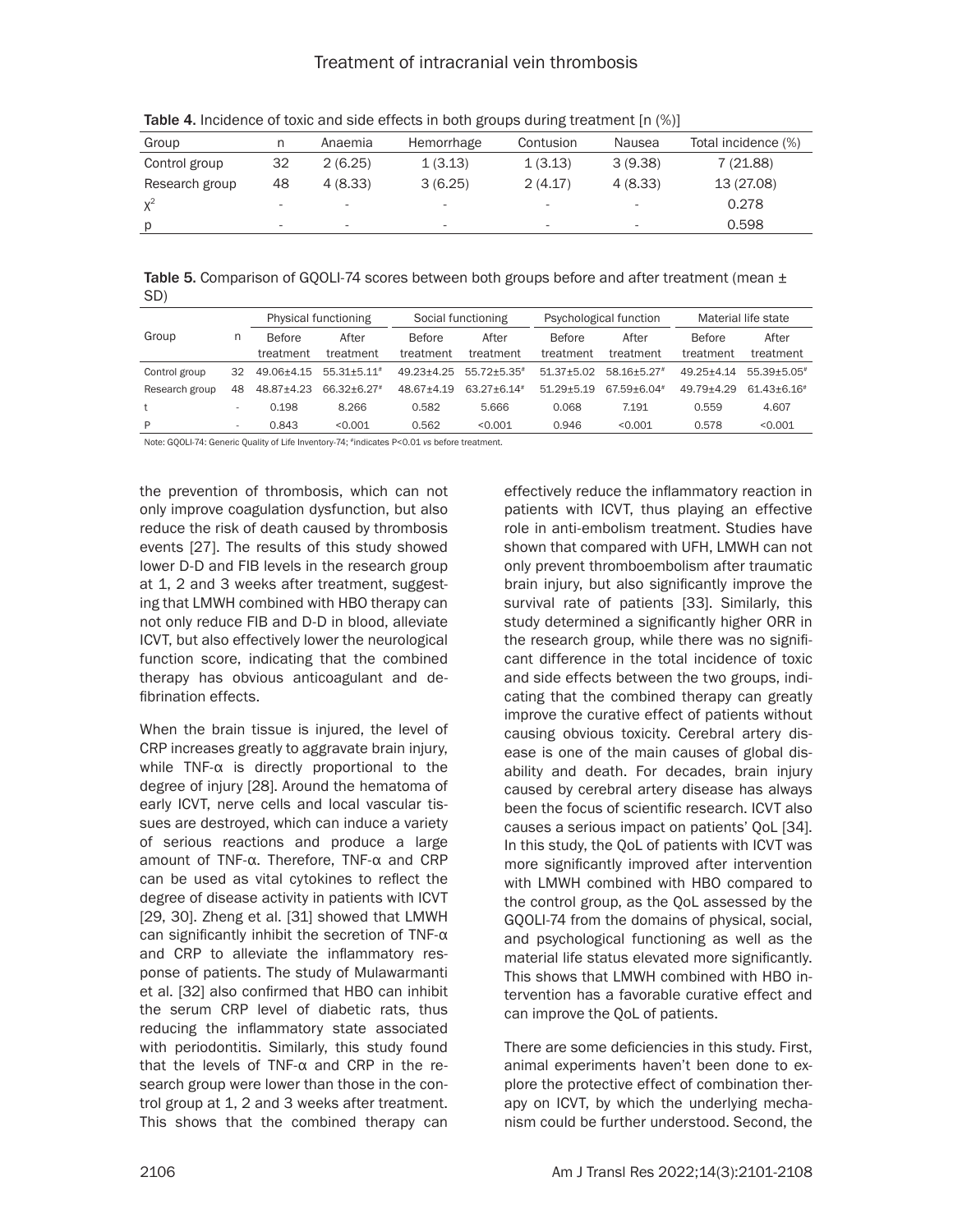| Group          |    | Anaemia | Hemorrhage | Contusion | Nausea                   | Total incidence (%) |
|----------------|----|---------|------------|-----------|--------------------------|---------------------|
| Control group  | 32 | 2(6.25) | 1(3.13)    | 1(3.13)   | 3(9.38)                  | 7(21.88)            |
| Research group | 48 | 4(8,33) | 3(6.25)    | 2(4.17)   | 4(8.33)                  | 13 (27.08)          |
| $X^2$          |    | ۰       |            | -         | $\overline{\phantom{a}}$ | 0.278               |
| <sup>D</sup>   |    | -       |            |           | $\overline{\phantom{a}}$ | 0.598               |

Table 4. Incidence of toxic and side effects in both groups during treatment [n (%)]

Table 5. Comparison of GOOLI-74 scores between both groups before and after treatment (mean  $\pm$ SD)

|                |     |               | Physical functioning |            | Social functioning          |                | Psychological function | Material life state |                 |
|----------------|-----|---------------|----------------------|------------|-----------------------------|----------------|------------------------|---------------------|-----------------|
| Group          | n   | <b>Before</b> | After                | Before     | After                       | Before         | After                  | <b>Before</b>       | After           |
|                |     | treatment     | treatment            | treatment  | treatment                   | treatment      | treatment              | treatment           | treatment       |
| Control group  | 32  | 49.06+4.15    | $55.31 + 5.11$ #     | 49.23+4.25 | 55.72±5.35#                 | $51.37 + 5.02$ | 58.16+5.27#            | $49.25 + 4.14$      | 55.39+5.05#     |
| Research group | 48  | 48.87±4.23    | 66.32±6.27*          | 48.67+4.19 | $63.27 + 6.14$ <sup>#</sup> | $51.29 + 5.19$ | 67.59+6.04#            | 49.79+4.29          | $61.43 + 6.16*$ |
|                |     | 0.198         | 8.266                | 0.582      | 5.666                       | 0.068          | 7.191                  | 0.559               | 4.607           |
| P              | . . | 0.843         | < 0.001              | 0.562      | < 0.001                     | 0.946          | < 0.001                | 0.578               | < 0.001         |

Note: GQOLI-74: Generic Quality of Life Inventory-74; #indicates P<0.01 *vs* before treatment.

the prevention of thrombosis, which can not only improve coagulation dysfunction, but also reduce the risk of death caused by thrombosis events [27]. The results of this study showed lower D-D and FIB levels in the research group at 1, 2 and 3 weeks after treatment, suggesting that LMWH combined with HBO therapy can not only reduce FIB and D-D in blood, alleviate ICVT, but also effectively lower the neurological function score, indicating that the combined therapy has obvious anticoagulant and defibrination effects.

When the brain tissue is injured, the level of CRP increases greatly to aggravate brain injury, while TNF-α is directly proportional to the degree of injury [28]. Around the hematoma of early ICVT, nerve cells and local vascular tissues are destroyed, which can induce a variety of serious reactions and produce a large amount of TNF-α. Therefore, TNF-α and CRP can be used as vital cytokines to reflect the degree of disease activity in patients with ICVT [29, 30]. Zheng et al. [31] showed that LMWH can significantly inhibit the secretion of TNF-α and CRP to alleviate the inflammatory response of patients. The study of Mulawarmanti et al. [32] also confirmed that HBO can inhibit the serum CRP level of diabetic rats, thus reducing the inflammatory state associated with periodontitis. Similarly, this study found that the levels of TNF-α and CRP in the research group were lower than those in the control group at 1, 2 and 3 weeks after treatment. This shows that the combined therapy can

effectively reduce the inflammatory reaction in patients with ICVT, thus playing an effective role in anti-embolism treatment. Studies have shown that compared with UFH, LMWH can not only prevent thromboembolism after traumatic brain injury, but also significantly improve the survival rate of patients [33]. Similarly, this study determined a significantly higher ORR in the research group, while there was no significant difference in the total incidence of toxic and side effects between the two groups, indicating that the combined therapy can greatly improve the curative effect of patients without causing obvious toxicity. Cerebral artery disease is one of the main causes of global disability and death. For decades, brain injury caused by cerebral artery disease has always been the focus of scientific research. ICVT also causes a serious impact on patients' QoL [34]. In this study, the QoL of patients with ICVT was more significantly improved after intervention with LMWH combined with HBO compared to the control group, as the QoL assessed by the GQOLI-74 from the domains of physical, social, and psychological functioning as well as the material life status elevated more significantly. This shows that LMWH combined with HBO intervention has a favorable curative effect and can improve the QoL of patients.

There are some deficiencies in this study. First, animal experiments haven't been done to explore the protective effect of combination therapy on ICVT, by which the underlying mechanism could be further understood. Second, the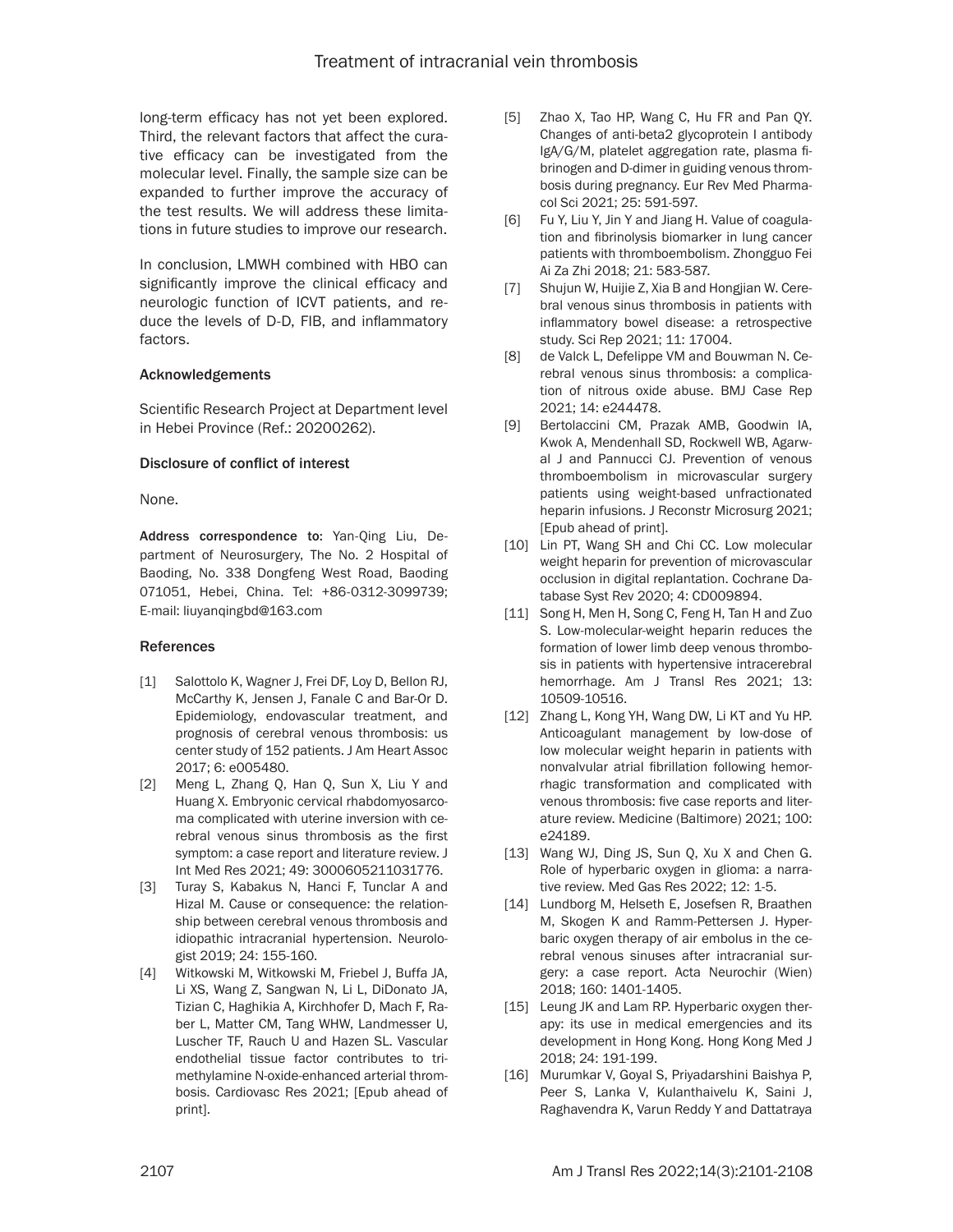long-term efficacy has not yet been explored. Third, the relevant factors that affect the curative efficacy can be investigated from the molecular level. Finally, the sample size can be expanded to further improve the accuracy of the test results. We will address these limitations in future studies to improve our research.

In conclusion, LMWH combined with HBO can significantly improve the clinical efficacy and neurologic function of ICVT patients, and reduce the levels of D-D, FIB, and inflammatory factors.

# Acknowledgements

Scientific Research Project at Department level in Hebei Province (Ref.: 20200262).

# Disclosure of conflict of interest

None.

Address correspondence to: Yan-Qing Liu, Department of Neurosurgery, The No. 2 Hospital of Baoding, No. 338 Dongfeng West Road, Baoding 071051, Hebei, China. Tel: +86-0312-3099739; E-mail: [liuyanqingbd@163.com](mailto:liuyanqingbd@163.com)

# References

- [1] Salottolo K, Wagner J, Frei DF, Loy D, Bellon RJ, McCarthy K, Jensen J, Fanale C and Bar-Or D. Epidemiology, endovascular treatment, and prognosis of cerebral venous thrombosis: us center study of 152 patients. J Am Heart Assoc 2017; 6: e005480.
- [2] Meng L, Zhang Q, Han Q, Sun X, Liu Y and Huang X. Embryonic cervical rhabdomyosarcoma complicated with uterine inversion with cerebral venous sinus thrombosis as the first symptom: a case report and literature review. J Int Med Res 2021; 49: 3000605211031776.
- [3] Turay S, Kabakus N, Hanci F, Tunclar A and Hizal M. Cause or consequence: the relationship between cerebral venous thrombosis and idiopathic intracranial hypertension. Neurologist 2019; 24: 155-160.
- [4] Witkowski M, Witkowski M, Friebel J, Buffa JA, Li XS, Wang Z, Sangwan N, Li L, DiDonato JA, Tizian C, Haghikia A, Kirchhofer D, Mach F, Raber L, Matter CM, Tang WHW, Landmesser U, Luscher TF, Rauch U and Hazen SL. Vascular endothelial tissue factor contributes to trimethylamine N-oxide-enhanced arterial thrombosis. Cardiovasc Res 2021; [Epub ahead of print].
- [5] Zhao X, Tao HP, Wang C, Hu FR and Pan QY. Changes of anti-beta2 glycoprotein I antibody IgA/G/M, platelet aggregation rate, plasma fibrinogen and D-dimer in guiding venous thrombosis during pregnancy. Eur Rev Med Pharmacol Sci 2021; 25: 591-597.
- [6] Fu Y, Liu Y, Jin Y and Jiang H. Value of coagulation and fibrinolysis biomarker in lung cancer patients with thromboembolism. Zhongguo Fei Ai Za Zhi 2018; 21: 583-587.
- [7] Shujun W, Huijie Z, Xia B and Hongjian W. Cerebral venous sinus thrombosis in patients with inflammatory bowel disease: a retrospective study. Sci Rep 2021; 11: 17004.
- [8] de Valck L, Defelippe VM and Bouwman N. Cerebral venous sinus thrombosis: a complication of nitrous oxide abuse. BMJ Case Rep 2021; 14: e244478.
- [9] Bertolaccini CM, Prazak AMB, Goodwin IA, Kwok A, Mendenhall SD, Rockwell WB, Agarwal J and Pannucci CJ. Prevention of venous thromboembolism in microvascular surgery patients using weight-based unfractionated heparin infusions. J Reconstr Microsurg 2021; [Epub ahead of print].
- [10] Lin PT, Wang SH and Chi CC. Low molecular weight heparin for prevention of microvascular occlusion in digital replantation. Cochrane Database Syst Rev 2020; 4: CD009894.
- [11] Song H, Men H, Song C, Feng H, Tan H and Zuo S. Low-molecular-weight heparin reduces the formation of lower limb deep venous thrombosis in patients with hypertensive intracerebral hemorrhage. Am J Transl Res 2021; 13: 10509-10516.
- [12] Zhang L, Kong YH, Wang DW, Li KT and Yu HP. Anticoagulant management by low-dose of low molecular weight heparin in patients with nonvalvular atrial fibrillation following hemorrhagic transformation and complicated with venous thrombosis: five case reports and literature review. Medicine (Baltimore) 2021; 100: e24189.
- [13] Wang WJ, Ding JS, Sun Q, Xu X and Chen G. Role of hyperbaric oxygen in glioma: a narrative review. Med Gas Res 2022; 12: 1-5.
- [14] Lundborg M, Helseth E, Josefsen R, Braathen M, Skogen K and Ramm-Pettersen J. Hyperbaric oxygen therapy of air embolus in the cerebral venous sinuses after intracranial surgery: a case report. Acta Neurochir (Wien) 2018; 160: 1401-1405.
- [15] Leung JK and Lam RP. Hyperbaric oxygen therapy: its use in medical emergencies and its development in Hong Kong. Hong Kong Med J 2018; 24: 191-199.
- [16] Murumkar V, Goyal S, Priyadarshini Baishya P, Peer S, Lanka V, Kulanthaivelu K, Saini J, Raghavendra K, Varun Reddy Y and Dattatraya